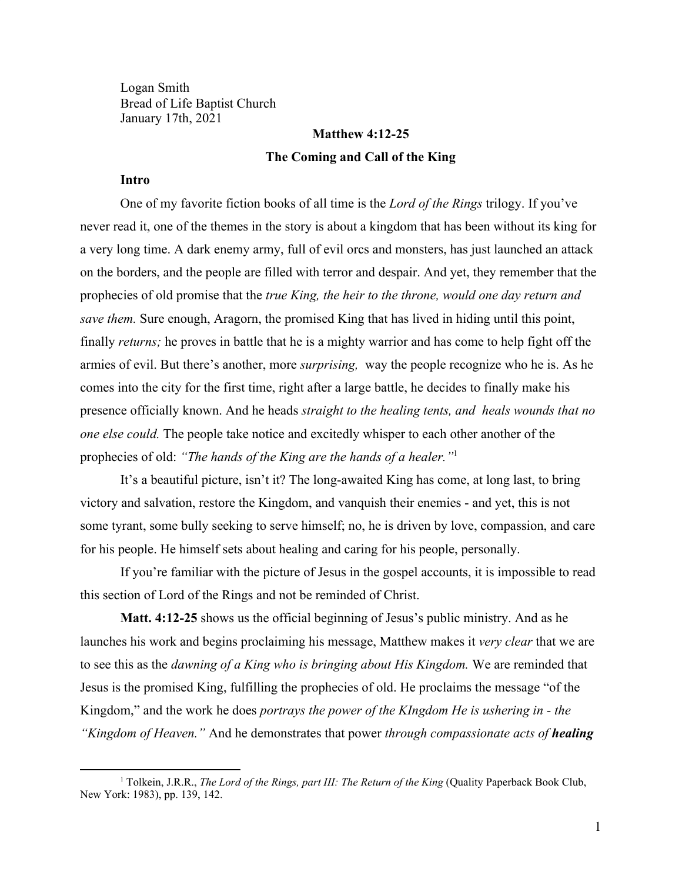Logan Smith Bread of Life Baptist Church January 17th, 2021

# **Matthew 4:12-25 The Coming and Call of the King**

### **Intro**

One of my favorite fiction books of all time is the *Lord of the Rings* trilogy. If you've never read it, one of the themes in the story is about a kingdom that has been without its king for a very long time. A dark enemy army, full of evil orcs and monsters, has just launched an attack on the borders, and the people are filled with terror and despair. And yet, they remember that the prophecies of old promise that the *true King, the heir to the throne, would one day return and save them.* Sure enough, Aragorn, the promised King that has lived in hiding until this point, finally *returns;* he proves in battle that he is a mighty warrior and has come to help fight off the armies of evil. But there's another, more *surprising,* way the people recognize who he is. As he comes into the city for the first time, right after a large battle, he decides to finally make his presence officially known. And he heads *straight to the healing tents, and heals wounds that no one else could.* The people take notice and excitedly whisper to each other another of the prophecies of old: *"The hands of the King are the hands of a healer."*<sup>1</sup>

It's a beautiful picture, isn't it? The long-awaited King has come, at long last, to bring victory and salvation, restore the Kingdom, and vanquish their enemies - and yet, this is not some tyrant, some bully seeking to serve himself; no, he is driven by love, compassion, and care for his people. He himself sets about healing and caring for his people, personally.

If you're familiar with the picture of Jesus in the gospel accounts, it is impossible to read this section of Lord of the Rings and not be reminded of Christ.

**Matt. 4:12-25** shows us the official beginning of Jesus's public ministry. And as he launches his work and begins proclaiming his message, Matthew makes it *very clear* that we are to see this as the *dawning of a King who is bringing about His Kingdom.* We are reminded that Jesus is the promised King, fulfilling the prophecies of old. He proclaims the message "of the Kingdom," and the work he does *portrays the power of the KIngdom He is ushering in - the "Kingdom of Heaven."* And he demonstrates that power *through compassionate acts of healing*

<sup>1</sup> Tolkein, J.R.R., *The Lord of the Rings, part III: The Return of the King* (Quality Paperback Book Club, New York: 1983), pp. 139, 142.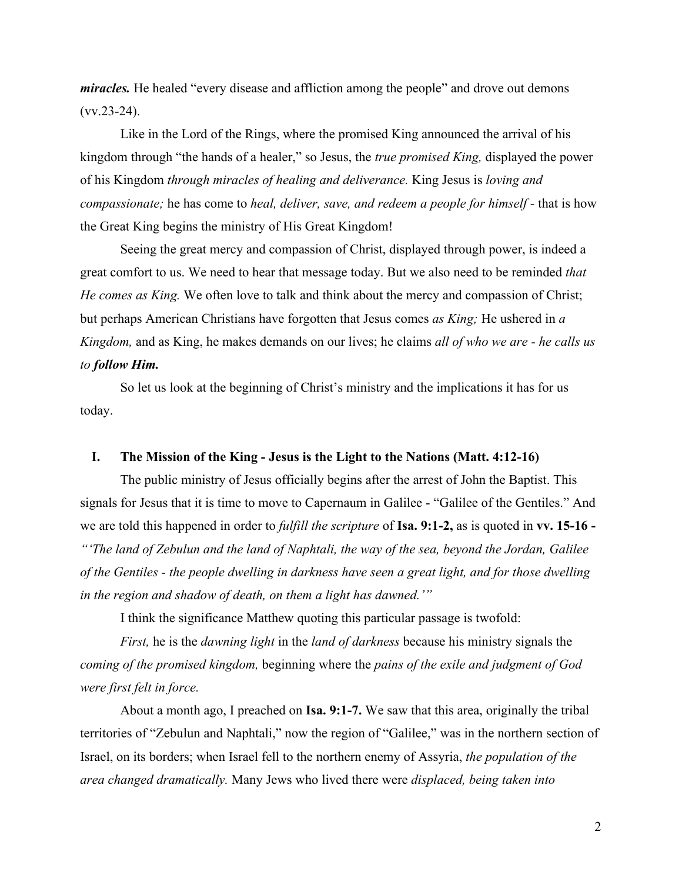*miracles.* He healed "every disease and affliction among the people" and drove out demons  $(vv.23-24)$ .

Like in the Lord of the Rings, where the promised King announced the arrival of his kingdom through "the hands of a healer," so Jesus, the *true promised King,* displayed the power of his Kingdom *through miracles of healing and deliverance.* King Jesus is *loving and compassionate;* he has come to *heal, deliver, save, and redeem a people for himself* - that is how the Great King begins the ministry of His Great Kingdom!

Seeing the great mercy and compassion of Christ, displayed through power, is indeed a great comfort to us. We need to hear that message today. But we also need to be reminded *that He comes as King.* We often love to talk and think about the mercy and compassion of Christ; but perhaps American Christians have forgotten that Jesus comes *as King;* He ushered in *a Kingdom,* and as King, he makes demands on our lives; he claims *all of who we are - he calls us to follow Him.*

So let us look at the beginning of Christ's ministry and the implications it has for us today.

#### **I. The Mission of the King - Jesus is the Light to the Nations (Matt. 4:12-16)**

The public ministry of Jesus officially begins after the arrest of John the Baptist. This signals for Jesus that it is time to move to Capernaum in Galilee - "Galilee of the Gentiles." And we are told this happened in order to *fulfill the scripture* of **Isa. 9:1-2,** as is quoted in **vv. 15-16 -** *"'The land of Zebulun and the land of Naphtali, the way of the sea, beyond the Jordan, Galilee of the Gentiles - the people dwelling in darkness have seen a great light, and for those dwelling in the region and shadow of death, on them a light has dawned.'"*

I think the significance Matthew quoting this particular passage is twofold:

*First,* he is the *dawning light* in the *land of darkness* because his ministry signals the *coming of the promised kingdom,* beginning where the *pains of the exile and judgment of God were first felt in force.*

About a month ago, I preached on **Isa. 9:1-7.** We saw that this area, originally the tribal territories of "Zebulun and Naphtali," now the region of "Galilee," was in the northern section of Israel, on its borders; when Israel fell to the northern enemy of Assyria, *the population of the area changed dramatically.* Many Jews who lived there were *displaced, being taken into*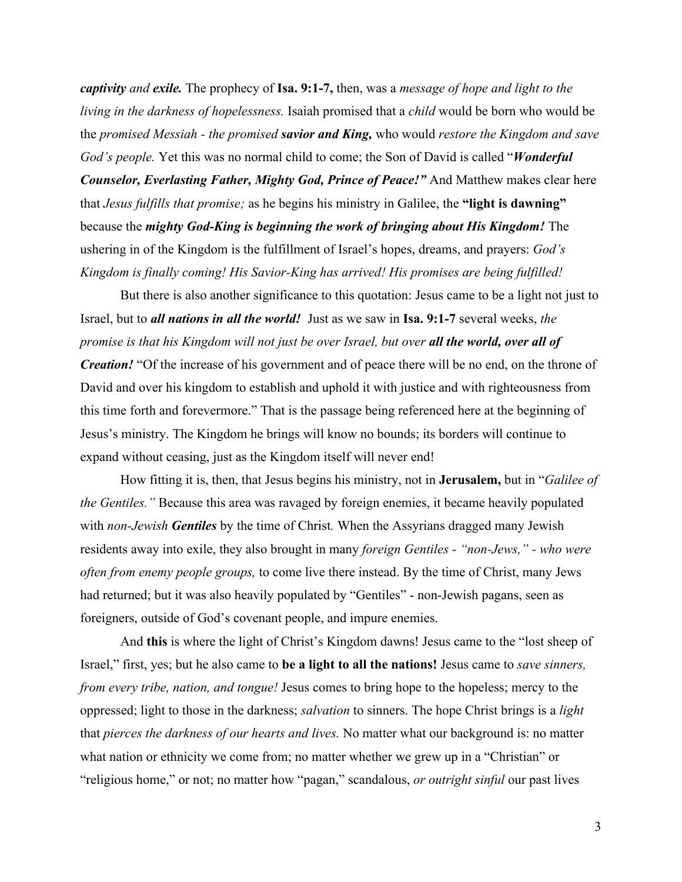*captivity and exile.* The prophecy of **Isa. 9:1-7,** then, was a *message of hope and light to the living in the darkness of hopelessness.* Isaiah promised that a *child* would be born who would be the *promised Messiah - the promised savior and King,* who would *restore the Kingdom and save God's people.* Yet this was no normal child to come; the Son of David is called "*Wonderful Counselor, Everlasting Father, Mighty God, Prince of Peace!"* And Matthew makes clear here that *Jesus fulfills that promise;* as he begins his ministry in Galilee, the **"light is dawning"** because the *mighty God-King is beginning the work of bringing about His Kingdom!* The ushering in of the Kingdom is the fulfillment of Israel's hopes, dreams, and prayers: *God's Kingdom is finally coming! His Savior-King has arrived! His promises are being fulfilled!*

But there is also another significance to this quotation: Jesus came to be a light not just to Israel, but to *all nations in all the world!* Just as we saw in **Isa. 9:1-7** several weeks, *the promise is that his Kingdom will not just be over Israel, but over all the world, over all of Creation!* "Of the increase of his government and of peace there will be no end, on the throne of David and over his kingdom to establish and uphold it with justice and with righteousness from this time forth and forevermore." That is the passage being referenced here at the beginning of Jesus's ministry. The Kingdom he brings will know no bounds; its borders will continue to expand without ceasing, just as the Kingdom itself will never end!

How fitting it is, then, that Jesus begins his ministry, not in **Jerusalem,** but in "*Galilee of the Gentiles."* Because this area was ravaged by foreign enemies, it became heavily populated with *non-Jewish Gentiles* by the time of Christ*.* When the Assyrians dragged many Jewish residents away into exile, they also brought in many *foreign Gentiles - "non-Jews," - who were often from enemy people groups,* to come live there instead. By the time of Christ, many Jews had returned; but it was also heavily populated by "Gentiles" - non-Jewish pagans, seen as foreigners, outside of God's covenant people, and impure enemies.

And **this** is where the light of Christ's Kingdom dawns! Jesus came to the "lost sheep of Israel," first, yes; but he also came to **be a light to all the nations!** Jesus came to *save sinners, from every tribe, nation, and tongue!* Jesus comes to bring hope to the hopeless; mercy to the oppressed; light to those in the darkness; *salvation* to sinners. The hope Christ brings is a *light* that *pierces the darkness of our hearts and lives.* No matter what our background is: no matter what nation or ethnicity we come from; no matter whether we grew up in a "Christian" or "religious home," or not; no matter how "pagan," scandalous, *or outright sinful* our past lives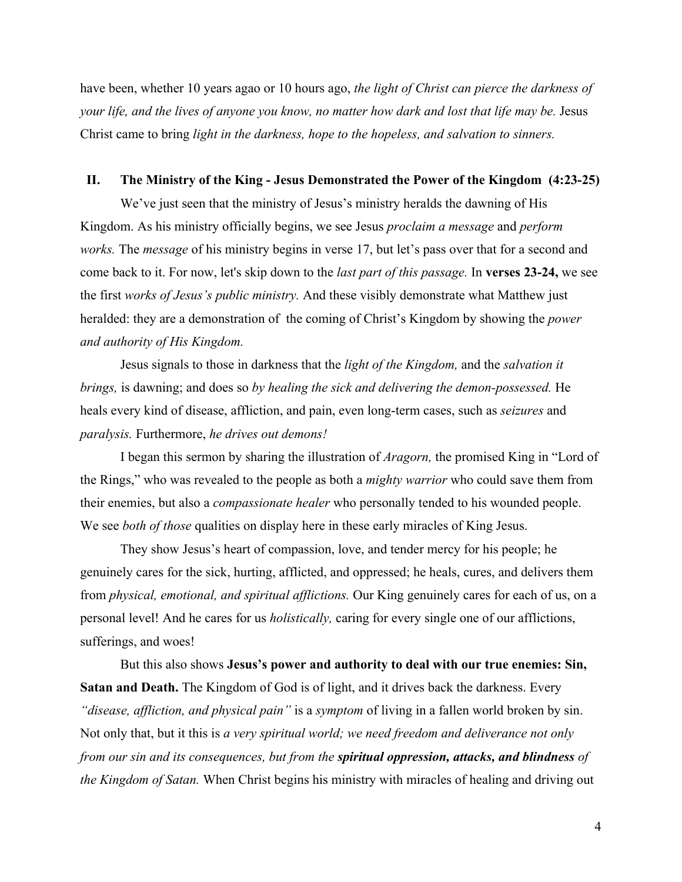have been, whether 10 years agao or 10 hours ago, *the light of Christ can pierce the darkness of your life, and the lives of anyone you know, no matter how dark and lost that life may be.* Jesus Christ came to bring *light in the darkness, hope to the hopeless, and salvation to sinners.*

#### **II. The Ministry of the King - Jesus Demonstrated the Power of the Kingdom (4:23-25)**

We've just seen that the ministry of Jesus's ministry heralds the dawning of His Kingdom. As his ministry officially begins, we see Jesus *proclaim a message* and *perform works.* The *message* of his ministry begins in verse 17, but let's pass over that for a second and come back to it. For now, let's skip down to the *last part of this passage.* In **verses 23-24,** we see the first *works of Jesus's public ministry.* And these visibly demonstrate what Matthew just heralded: they are a demonstration of the coming of Christ's Kingdom by showing the *power and authority of His Kingdom.*

Jesus signals to those in darkness that the *light of the Kingdom,* and the *salvation it brings,* is dawning; and does so *by healing the sick and delivering the demon-possessed.* He heals every kind of disease, affliction, and pain, even long-term cases, such as *seizures* and *paralysis.* Furthermore, *he drives out demons!*

I began this sermon by sharing the illustration of *Aragorn,* the promised King in "Lord of the Rings," who was revealed to the people as both a *mighty warrior* who could save them from their enemies, but also a *compassionate healer* who personally tended to his wounded people. We see *both of those* qualities on display here in these early miracles of King Jesus.

They show Jesus's heart of compassion, love, and tender mercy for his people; he genuinely cares for the sick, hurting, afflicted, and oppressed; he heals, cures, and delivers them from *physical, emotional, and spiritual afflictions.* Our King genuinely cares for each of us, on a personal level! And he cares for us *holistically,* caring for every single one of our afflictions, sufferings, and woes!

But this also shows **Jesus's power and authority to deal with our true enemies: Sin, Satan and Death.** The Kingdom of God is of light, and it drives back the darkness. Every *"disease, affliction, and physical pain"* is a *symptom* of living in a fallen world broken by sin. Not only that, but it this is *a very spiritual world; we need freedom and deliverance not only from our sin and its consequences, but from the spiritual oppression, attacks, and blindness of the Kingdom of Satan.* When Christ begins his ministry with miracles of healing and driving out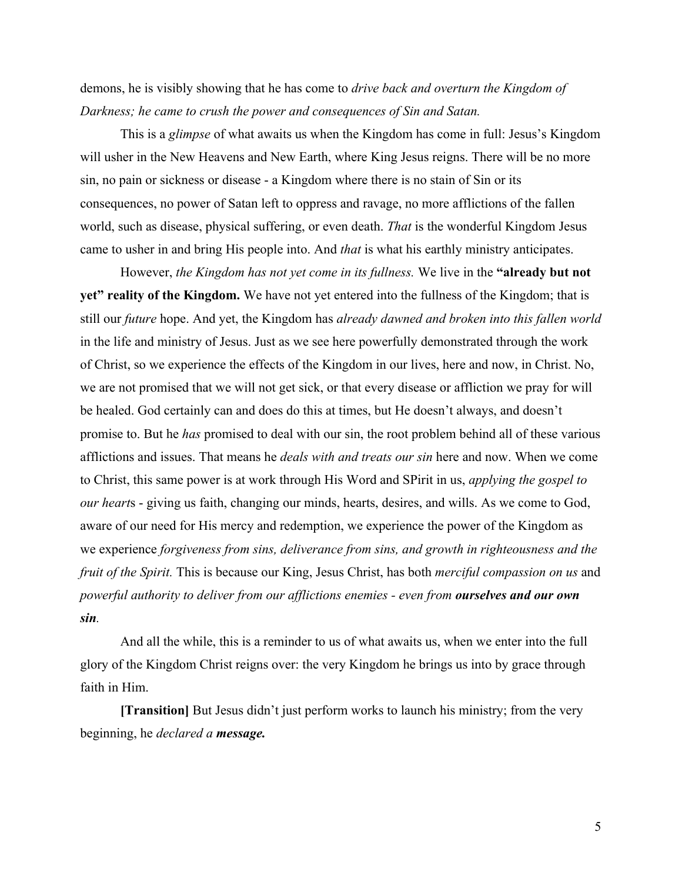demons, he is visibly showing that he has come to *drive back and overturn the Kingdom of Darkness; he came to crush the power and consequences of Sin and Satan.*

This is a *glimpse* of what awaits us when the Kingdom has come in full: Jesus's Kingdom will usher in the New Heavens and New Earth, where King Jesus reigns. There will be no more sin, no pain or sickness or disease - a Kingdom where there is no stain of Sin or its consequences, no power of Satan left to oppress and ravage, no more afflictions of the fallen world, such as disease, physical suffering, or even death. *That* is the wonderful Kingdom Jesus came to usher in and bring His people into. And *that* is what his earthly ministry anticipates.

However, *the Kingdom has not yet come in its fullness.* We live in the **"already but not yet" reality of the Kingdom.** We have not yet entered into the fullness of the Kingdom; that is still our *future* hope. And yet, the Kingdom has *already dawned and broken into this fallen world* in the life and ministry of Jesus. Just as we see here powerfully demonstrated through the work of Christ, so we experience the effects of the Kingdom in our lives, here and now, in Christ. No, we are not promised that we will not get sick, or that every disease or affliction we pray for will be healed. God certainly can and does do this at times, but He doesn't always, and doesn't promise to. But he *has* promised to deal with our sin, the root problem behind all of these various afflictions and issues. That means he *deals with and treats our sin* here and now. When we come to Christ, this same power is at work through His Word and SPirit in us, *applying the gospel to our heart*s - giving us faith, changing our minds, hearts, desires, and wills. As we come to God, aware of our need for His mercy and redemption, we experience the power of the Kingdom as we experience *forgiveness from sins, deliverance from sins, and growth in righteousness and the fruit of the Spirit.* This is because our King, Jesus Christ, has both *merciful compassion on us* and *powerful authority to deliver from our afflictions enemies - even from ourselves and our own sin.*

And all the while, this is a reminder to us of what awaits us, when we enter into the full glory of the Kingdom Christ reigns over: the very Kingdom he brings us into by grace through faith in Him.

**[Transition]** But Jesus didn't just perform works to launch his ministry; from the very beginning, he *declared a message.*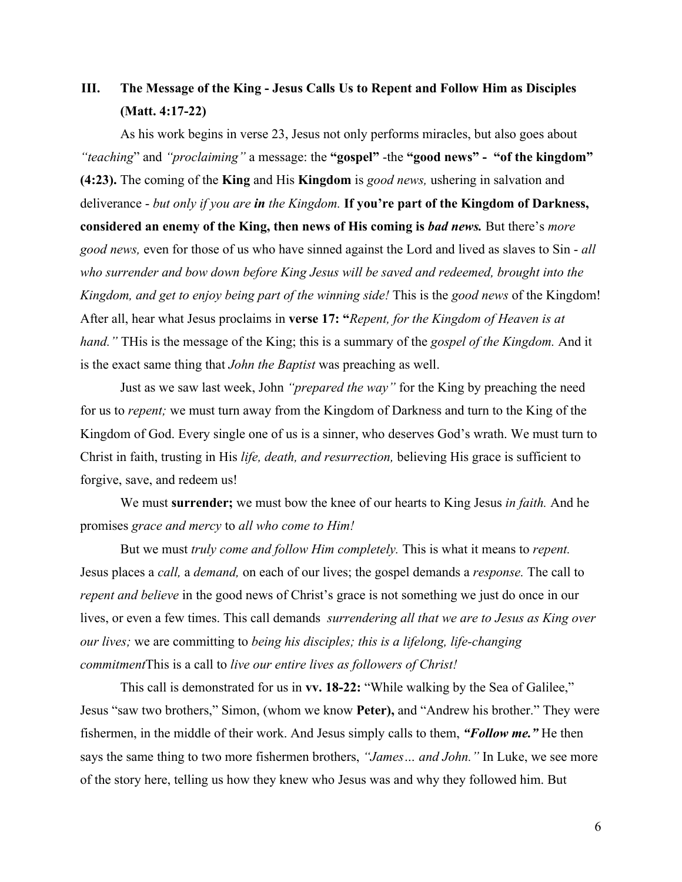# **III. The Message of the King - Jesus Calls Us to Repent and Follow Him as Disciples (Matt. 4:17-22)**

As his work begins in verse 23, Jesus not only performs miracles, but also goes about *"teaching*" and *"proclaiming"* a message: the **"gospel"** -the **"good news" - "of the kingdom" (4:23).** The coming of the **King** and His **Kingdom** is *good news,* ushering in salvation and deliverance - *but only if you are in the Kingdom.* **If you're part of the Kingdom of Darkness, considered an enemy of the King, then news of His coming is** *bad news.* But there's *more good news,* even for those of us who have sinned against the Lord and lived as slaves to Sin - *all who surrender and bow down before King Jesus will be saved and redeemed, brought into the Kingdom, and get to enjoy being part of the winning side!* This is the *good news* of the Kingdom! After all, hear what Jesus proclaims in **verse 17: "***Repent, for the Kingdom of Heaven is at hand."* THis is the message of the King; this is a summary of the *gospel of the Kingdom.* And it is the exact same thing that *John the Baptist* was preaching as well.

Just as we saw last week, John *"prepared the way"* for the King by preaching the need for us to *repent;* we must turn away from the Kingdom of Darkness and turn to the King of the Kingdom of God. Every single one of us is a sinner, who deserves God's wrath. We must turn to Christ in faith, trusting in His *life, death, and resurrection,* believing His grace is sufficient to forgive, save, and redeem us!

We must **surrender;** we must bow the knee of our hearts to King Jesus *in faith.* And he promises *grace and mercy* to *all who come to Him!*

But we must *truly come and follow Him completely.* This is what it means to *repent.* Jesus places a *call,* a *demand,* on each of our lives; the gospel demands a *response.* The call to *repent and believe* in the good news of Christ's grace is not something we just do once in our lives, or even a few times. This call demands *surrendering all that we are to Jesus as King over our lives;* we are committing to *being his disciples; this is a lifelong, life-changing commitment*This is a call to *live our entire lives as followers of Christ!*

This call is demonstrated for us in **vv. 18-22:** "While walking by the Sea of Galilee," Jesus "saw two brothers," Simon, (whom we know **Peter),** and "Andrew his brother." They were fishermen, in the middle of their work. And Jesus simply calls to them, *"Follow me."* He then says the same thing to two more fishermen brothers, *"James… and John."* In Luke, we see more of the story here, telling us how they knew who Jesus was and why they followed him. But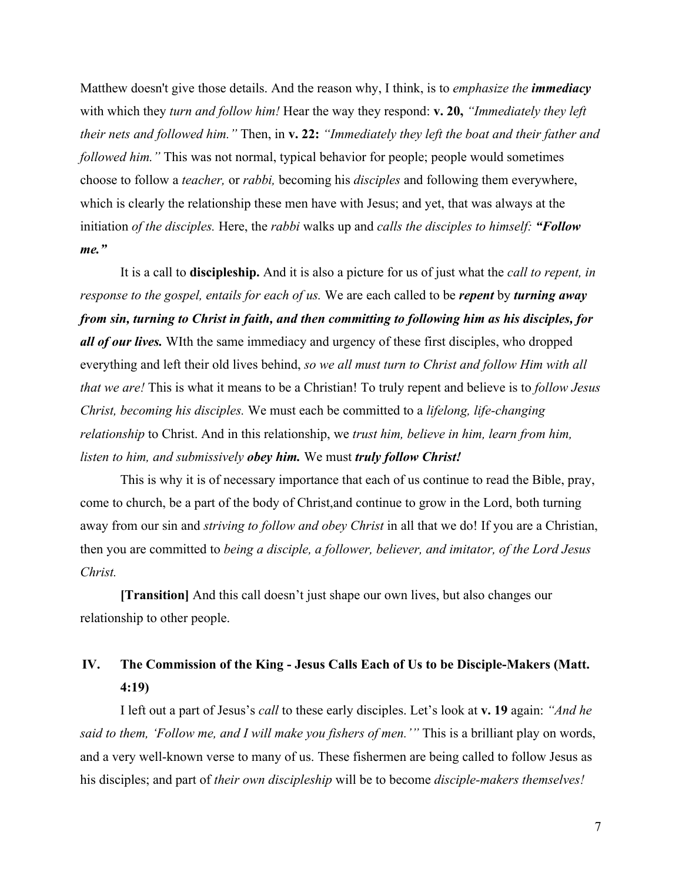Matthew doesn't give those details. And the reason why, I think, is to *emphasize the immediacy* with which they *turn and follow him!* Hear the way they respond: **v. 20,** *"Immediately they left their nets and followed him."* Then, in **v. 22:** *"Immediately they left the boat and their father and followed him."* This was not normal, typical behavior for people; people would sometimes choose to follow a *teacher,* or *rabbi,* becoming his *disciples* and following them everywhere, which is clearly the relationship these men have with Jesus; and yet, that was always at the initiation *of the disciples.* Here, the *rabbi* walks up and *calls the disciples to himself: "Follow me."*

It is a call to **discipleship.** And it is also a picture for us of just what the *call to repent, in response to the gospel, entails for each of us.* We are each called to be *repent* by *turning away from sin, turning to Christ in faith, and then committing to following him as his disciples, for all of our lives.* WIth the same immediacy and urgency of these first disciples, who dropped everything and left their old lives behind, *so we all must turn to Christ and follow Him with all that we are!* This is what it means to be a Christian! To truly repent and believe is to *follow Jesus Christ, becoming his disciples.* We must each be committed to a *lifelong, life-changing relationship* to Christ. And in this relationship, we *trust him, believe in him, learn from him, listen to him, and submissively obey him.* We must *truly follow Christ!*

This is why it is of necessary importance that each of us continue to read the Bible, pray, come to church, be a part of the body of Christ,and continue to grow in the Lord, both turning away from our sin and *striving to follow and obey Christ* in all that we do! If you are a Christian, then you are committed to *being a disciple, a follower, believer, and imitator, of the Lord Jesus Christ.*

**[Transition]** And this call doesn't just shape our own lives, but also changes our relationship to other people.

# **IV. The Commission of the King - Jesus Calls Each of Us to be Disciple-Makers (Matt. 4:19)**

I left out a part of Jesus's *call* to these early disciples. Let's look at **v. 19** again: *"And he said to them, 'Follow me, and I will make you fishers of men.'"* This is a brilliant play on words, and a very well-known verse to many of us. These fishermen are being called to follow Jesus as his disciples; and part of *their own discipleship* will be to become *disciple-makers themselves!*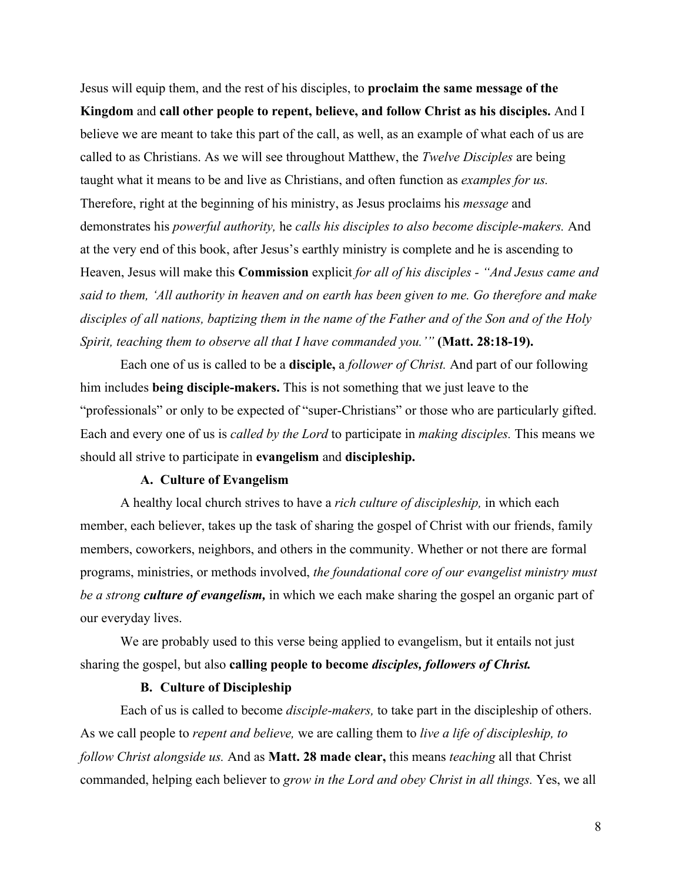Jesus will equip them, and the rest of his disciples, to **proclaim the same message of the Kingdom** and **call other people to repent, believe, and follow Christ as his disciples.** And I believe we are meant to take this part of the call, as well, as an example of what each of us are called to as Christians. As we will see throughout Matthew, the *Twelve Disciples* are being taught what it means to be and live as Christians, and often function as *examples for us.* Therefore, right at the beginning of his ministry, as Jesus proclaims his *message* and demonstrates his *powerful authority,* he *calls his disciples to also become disciple-makers.* And at the very end of this book, after Jesus's earthly ministry is complete and he is ascending to Heaven, Jesus will make this **Commission** explicit *for all of his disciples - "And Jesus came and said to them, 'All authority in heaven and on earth has been given to me. Go therefore and make disciples of all nations, baptizing them in the name of the Father and of the Son and of the Holy Spirit, teaching them to observe all that I have commanded you.'"* **(Matt. 28:18-19).**

Each one of us is called to be a **disciple,** a *follower of Christ.* And part of our following him includes **being disciple-makers.** This is not something that we just leave to the "professionals" or only to be expected of "super-Christians" or those who are particularly gifted. Each and every one of us is *called by the Lord* to participate in *making disciples.* This means we should all strive to participate in **evangelism** and **discipleship.**

### **A. Culture of Evangelism**

A healthy local church strives to have a *rich culture of discipleship,* in which each member, each believer, takes up the task of sharing the gospel of Christ with our friends, family members, coworkers, neighbors, and others in the community. Whether or not there are formal programs, ministries, or methods involved, *the foundational core of our evangelist ministry must be a strong culture of evangelism,* in which we each make sharing the gospel an organic part of our everyday lives.

We are probably used to this verse being applied to evangelism, but it entails not just sharing the gospel, but also **calling people to become** *disciples, followers of Christ.*

### **B. Culture of Discipleship**

Each of us is called to become *disciple-makers,* to take part in the discipleship of others. As we call people to *repent and believe,* we are calling them to *live a life of discipleship, to follow Christ alongside us.* And as **Matt. 28 made clear,** this means *teaching* all that Christ commanded, helping each believer to *grow in the Lord and obey Christ in all things.* Yes, we all